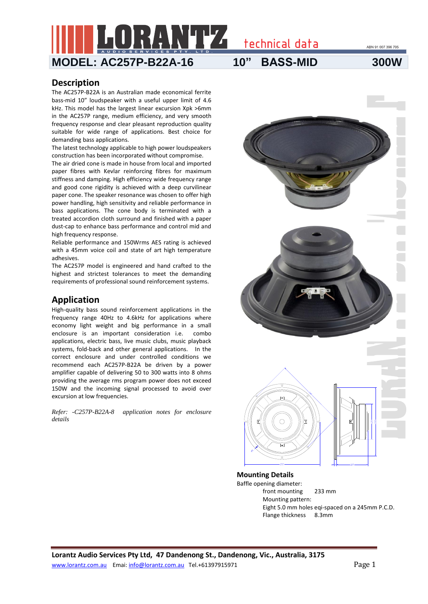ABN 91 007 396 705

**MODEL: AC257P-B22A-16 10" BASS-MID 300W**

technical data

## **Description**

The AC257P-B22A is an Australian made economical ferrite bass-mid 10" loudspeaker with a useful upper limit of 4.6 kHz. This model has the largest linear excursion Xpk >6mm in the AC257P range, medium efficiency, and very smooth frequency response and clear pleasant reproduction quality suitable for wide range of applications. Best choice for demanding bass applications.

The latest technology applicable to high power loudspeakers construction has been incorporated without compromise.

The air dried cone is made in house from local and imported paper fibres with Kevlar reinforcing fibres for maximum stiffness and damping. High efficiency wide frequency range and good cone rigidity is achieved with a deep curvilinear paper cone. The speaker resonance was chosen to offer high power handling, high sensitivity and reliable performance in bass applications. The cone body is terminated with a treated accordion cloth surround and finished with a paper dust-cap to enhance bass performance and control mid and high frequency response.

Reliable performance and 150Wrms AES rating is achieved with a 45mm voice coil and state of art high temperature adhesives.

The AC257P model is engineered and hand crafted to the highest and strictest tolerances to meet the demanding requirements of professional sound reinforcement systems.

# **Application**

High-quality bass sound reinforcement applications in the frequency range 40Hz to 4.6kHz for applications where economy light weight and big performance in a small enclosure is an important consideration i.e. combo applications, electric bass, live music clubs, music playback systems, fold-back and other general applications. In the correct enclosure and under controlled conditions we recommend each AC257P-B22A be driven by a power amplifier capable of delivering 50 to 300 watts into 8 ohms providing the average rms program power does not exceed 150W and the incoming signal processed to avoid over excursion at low frequencies.

*Refer: -C257P-B22A-8 application notes for enclosure details*



Baffle opening diameter: front mounting 233 mm Mounting pattern: Eight 5.0 mm holes eqi-spaced on a 245mm P.C.D. Flange thickness 8.3mm